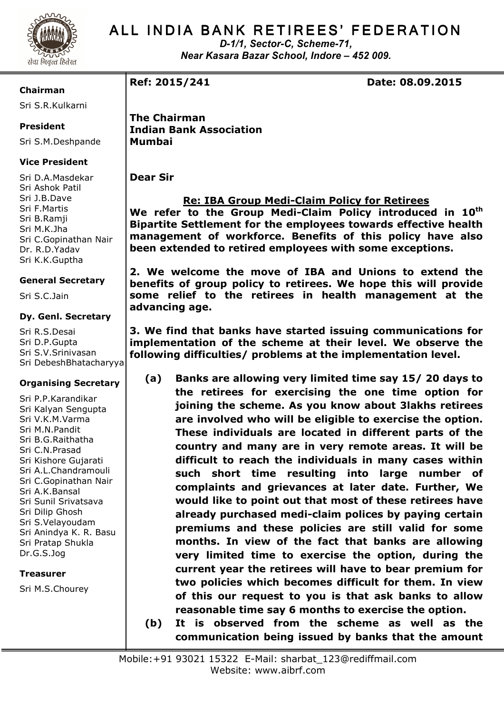

# ALL INDIA BANK RETIREES' FEDERATION

*D-1/1, Sector-C, Scheme-71, Near Kasara Bazar School, Indore – 452 009.* 

# **Chairman**

Sri S.R.Kulkarni

# **President**

Sri S.M.Deshpande

# **Vice President**

Sri D.A.Masdekar Sri Ashok Patil Sri J.B.Dave Sri F.Martis Sri B.Ramji Sri M.K.Jha Sri C.Gopinathan Nair Dr. R.D.Yadav Sri K.K.Guptha

# **General Secretary**

Sri S.C.Jain

## **Dy. Genl. Secretary**

Sri R.S.Desai Sri D.P.Gupta Sri S.V.Srinivasan Sri DebeshBhatacharyya

# **Organising Secretary**

Sri P.P.Karandikar Sri Kalyan Sengupta Sri V.K.M.Varma Sri M.N.Pandit Sri B.G.Raithatha Sri C.N.Prasad Sri Kishore Gujarati Sri A.L.Chandramouli Sri C.Gopinathan Nair Sri A.K.Bansal Sri Sunil Srivatsava Sri Dilip Ghosh Sri S.Velayoudam Sri Anindya K. R. Basu Sri Pratap Shukla Dr.G.S.Jog

# **Treasurer**

Sri M.S.Chourey

**Ref: 2015/241 Date: 08.09.2015** 

**The Chairman Indian Bank Association Mumbai** 

**Dear Sir** 

# **Re: IBA Group Medi-Claim Policy for Retirees**

**We refer to the Group Medi-Claim Policy introduced in 10th Bipartite Settlement for the employees towards effective health management of workforce. Benefits of this policy have also been extended to retired employees with some exceptions.** 

**2. We welcome the move of IBA and Unions to extend the benefits of group policy to retirees. We hope this will provide some relief to the retirees in health management at the advancing age.** 

**3. We find that banks have started issuing communications for implementation of the scheme at their level. We observe the following difficulties/ problems at the implementation level.** 

- **(a) Banks are allowing very limited time say 15/ 20 days to the retirees for exercising the one time option for joining the scheme. As you know about 3lakhs retirees are involved who will be eligible to exercise the option. These individuals are located in different parts of the country and many are in very remote areas. It will be difficult to reach the individuals in many cases within such short time resulting into large number of complaints and grievances at later date. Further, We would like to point out that most of these retirees have already purchased medi-claim polices by paying certain premiums and these policies are still valid for some months. In view of the fact that banks are allowing very limited time to exercise the option, during the current year the retirees will have to bear premium for two policies which becomes difficult for them. In view of this our request to you is that ask banks to allow reasonable time say 6 months to exercise the option.**
- **(b) It is observed from the scheme as well as the communication being issued by banks that the amount**